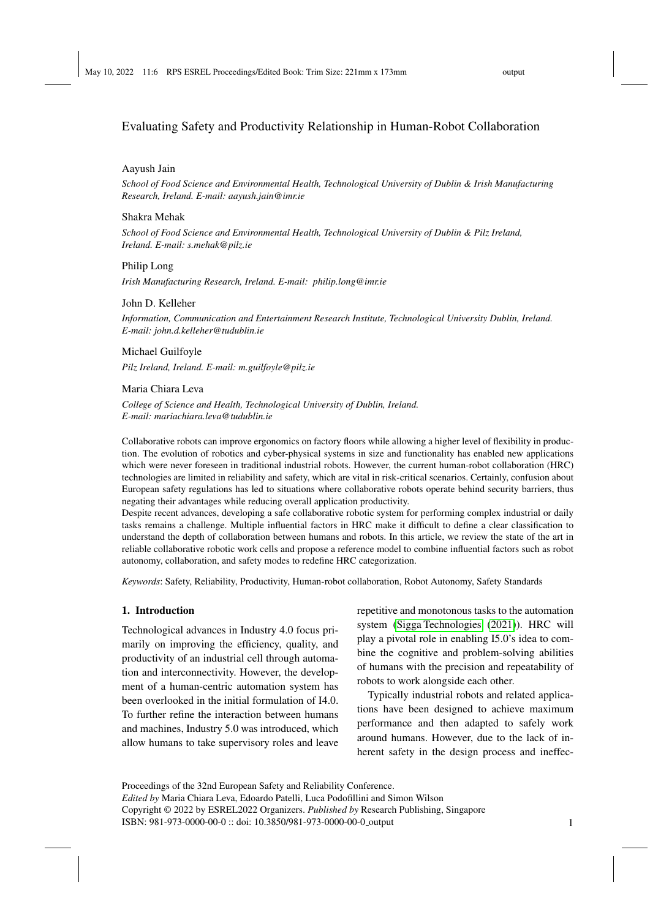# Evaluating Safety and Productivity Relationship in Human-Robot Collaboration

## Aayush Jain

*School of Food Science and Environmental Health, Technological University of Dublin & Irish Manufacturing Research, Ireland. E-mail: aayush.jain@imr.ie*

#### Shakra Mehak

*School of Food Science and Environmental Health, Technological University of Dublin & Pilz Ireland, Ireland. E-mail: s.mehak@pilz.ie*

## Philip Long

*Irish Manufacturing Research, Ireland. E-mail: philip.long@imr.ie*

## John D. Kelleher

*Information, Communication and Entertainment Research Institute, Technological University Dublin, Ireland. E-mail: john.d.kelleher@tudublin.ie*

### Michael Guilfoyle

*Pilz Ireland, Ireland. E-mail: m.guilfoyle@pilz.ie*

## Maria Chiara Leva

*College of Science and Health, Technological University of Dublin, Ireland. E-mail: mariachiara.leva@tudublin.ie*

Collaborative robots can improve ergonomics on factory floors while allowing a higher level of flexibility in production. The evolution of robotics and cyber-physical systems in size and functionality has enabled new applications which were never foreseen in traditional industrial robots. However, the current human-robot collaboration (HRC) technologies are limited in reliability and safety, which are vital in risk-critical scenarios. Certainly, confusion about European safety regulations has led to situations where collaborative robots operate behind security barriers, thus negating their advantages while reducing overall application productivity.

Despite recent advances, developing a safe collaborative robotic system for performing complex industrial or daily tasks remains a challenge. Multiple influential factors in HRC make it difficult to define a clear classification to understand the depth of collaboration between humans and robots. In this article, we review the state of the art in reliable collaborative robotic work cells and propose a reference model to combine influential factors such as robot autonomy, collaboration, and safety modes to redefine HRC categorization.

*Keywords*: Safety, Reliability, Productivity, Human-robot collaboration, Robot Autonomy, Safety Standards

#### 1. Introduction

Technological advances in Industry 4.0 focus primarily on improving the efficiency, quality, and productivity of an industrial cell through automation and interconnectivity. However, the development of a human-centric automation system has been overlooked in the initial formulation of I4.0. To further refine the interaction between humans and machines, Industry 5.0 was introduced, which allow humans to take supervisory roles and leave

repetitive and monotonous tasks to the automation system [\(Sigga Technologies](#page-7-0) [\(2021\)](#page-7-0)). HRC will play a pivotal role in enabling I5.0's idea to combine the cognitive and problem-solving abilities of humans with the precision and repeatability of robots to work alongside each other.

Typically industrial robots and related applications have been designed to achieve maximum performance and then adapted to safely work around humans. However, due to the lack of inherent safety in the design process and ineffec-

Proceedings of the 32nd European Safety and Reliability Conference. *Edited by* Maria Chiara Leva, Edoardo Patelli, Luca Podofillini and Simon Wilson Copyright © 2022 by ESREL2022 Organizers. *Published by* Research Publishing, Singapore ISBN: 981-973-0000-00-0 :: doi: 10.3850/981-973-0000-00-0 output 1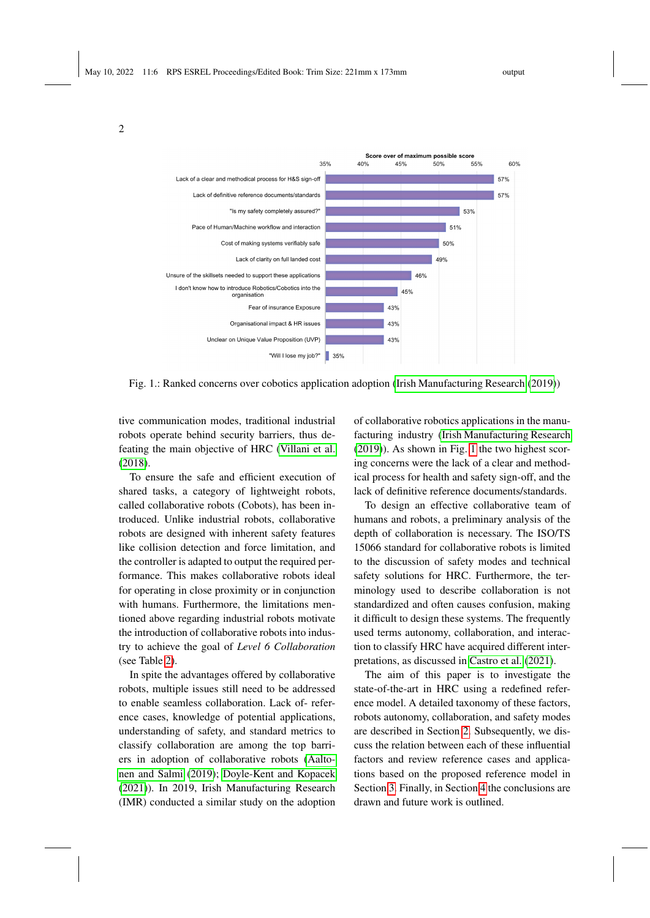<span id="page-1-0"></span>2



Fig. 1.: Ranked concerns over cobotics application adoption [\(Irish Manufacturing Research](#page-6-0) [\(2019\)](#page-6-0))

tive communication modes, traditional industrial robots operate behind security barriers, thus defeating the main objective of HRC [\(Villani et al.](#page-7-1) [\(2018\)](#page-7-1).

To ensure the safe and efficient execution of shared tasks, a category of lightweight robots, called collaborative robots (Cobots), has been introduced. Unlike industrial robots, collaborative robots are designed with inherent safety features like collision detection and force limitation, and the controller is adapted to output the required performance. This makes collaborative robots ideal for operating in close proximity or in conjunction with humans. Furthermore, the limitations mentioned above regarding industrial robots motivate the introduction of collaborative robots into industry to achieve the goal of *Level 6 Collaboration* (see Table [2\)](#page-5-0).

In spite the advantages offered by collaborative robots, multiple issues still need to be addressed to enable seamless collaboration. Lack of- reference cases, knowledge of potential applications, understanding of safety, and standard metrics to classify collaboration are among the top barriers in adoption of collaborative robots [\(Aalto](#page-6-1)[nen and Salmi](#page-6-1) [\(2019\)](#page-6-1); [Doyle-Kent and Kopacek](#page-6-2) [\(2021\)](#page-6-2)). In 2019, Irish Manufacturing Research (IMR) conducted a similar study on the adoption of collaborative robotics applications in the manufacturing industry [\(Irish Manufacturing Research](#page-6-0) [\(2019\)](#page-6-0)). As shown in Fig. [1](#page-1-0) the two highest scoring concerns were the lack of a clear and methodical process for health and safety sign-off, and the lack of definitive reference documents/standards.

To design an effective collaborative team of humans and robots, a preliminary analysis of the depth of collaboration is necessary. The ISO/TS 15066 standard for collaborative robots is limited to the discussion of safety modes and technical safety solutions for HRC. Furthermore, the terminology used to describe collaboration is not standardized and often causes confusion, making it difficult to design these systems. The frequently used terms autonomy, collaboration, and interaction to classify HRC have acquired different interpretations, as discussed in [Castro et al.](#page-6-3) [\(2021\)](#page-6-3).

The aim of this paper is to investigate the state-of-the-art in HRC using a redefined reference model. A detailed taxonomy of these factors, robots autonomy, collaboration, and safety modes are described in Section [2.](#page-2-0) Subsequently, we discuss the relation between each of these influential factors and review reference cases and applications based on the proposed reference model in Section [3.](#page-4-0) Finally, in Section [4](#page-5-1) the conclusions are drawn and future work is outlined.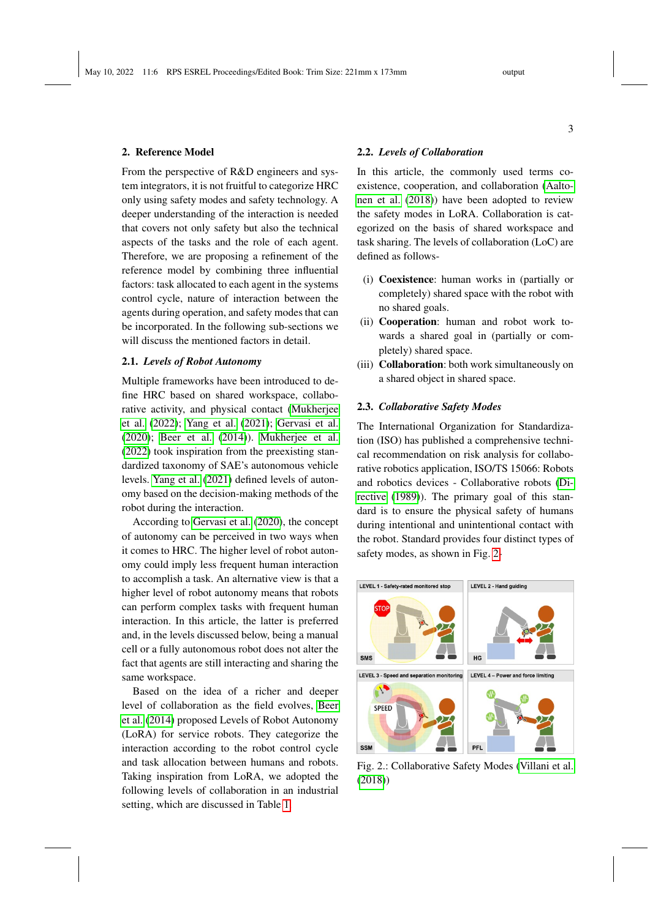# 3

# <span id="page-2-0"></span>2. Reference Model

From the perspective of R&D engineers and system integrators, it is not fruitful to categorize HRC only using safety modes and safety technology. A deeper understanding of the interaction is needed that covers not only safety but also the technical aspects of the tasks and the role of each agent. Therefore, we are proposing a refinement of the reference model by combining three influential factors: task allocated to each agent in the systems control cycle, nature of interaction between the agents during operation, and safety modes that can be incorporated. In the following sub-sections we will discuss the mentioned factors in detail.

## 2.1. *Levels of Robot Autonomy*

Multiple frameworks have been introduced to define HRC based on shared workspace, collaborative activity, and physical contact [\(Mukherjee](#page-7-2) [et al.](#page-7-2) [\(2022\)](#page-7-2); [Yang et al.](#page-7-3) [\(2021\)](#page-7-3); [Gervasi et al.](#page-6-4) [\(2020\)](#page-6-4); [Beer et al.](#page-6-5) [\(2014\)](#page-6-5)). [Mukherjee et al.](#page-7-2) [\(2022\)](#page-7-2) took inspiration from the preexisting standardized taxonomy of SAE's autonomous vehicle levels. [Yang et al.](#page-7-3) [\(2021\)](#page-7-3) defined levels of autonomy based on the decision-making methods of the robot during the interaction.

According to [Gervasi et al.](#page-6-4) [\(2020\)](#page-6-4), the concept of autonomy can be perceived in two ways when it comes to HRC. The higher level of robot autonomy could imply less frequent human interaction to accomplish a task. An alternative view is that a higher level of robot autonomy means that robots can perform complex tasks with frequent human interaction. In this article, the latter is preferred and, in the levels discussed below, being a manual cell or a fully autonomous robot does not alter the fact that agents are still interacting and sharing the same workspace.

Based on the idea of a richer and deeper level of collaboration as the field evolves, [Beer](#page-6-5) [et al.](#page-6-5) [\(2014\)](#page-6-5) proposed Levels of Robot Autonomy (LoRA) for service robots. They categorize the interaction according to the robot control cycle and task allocation between humans and robots. Taking inspiration from LoRA, we adopted the following levels of collaboration in an industrial setting, which are discussed in Table [1.](#page-3-0)

### 2.2. *Levels of Collaboration*

In this article, the commonly used terms coexistence, cooperation, and collaboration [\(Aalto](#page-6-6)[nen et al.](#page-6-6) [\(2018\)](#page-6-6)) have been adopted to review the safety modes in LoRA. Collaboration is categorized on the basis of shared workspace and task sharing. The levels of collaboration (LoC) are defined as follows-

- (i) Coexistence: human works in (partially or completely) shared space with the robot with no shared goals.
- (ii) Cooperation: human and robot work towards a shared goal in (partially or completely) shared space.
- (iii) Collaboration: both work simultaneously on a shared object in shared space.

# 2.3. *Collaborative Safety Modes*

The International Organization for Standardization (ISO) has published a comprehensive technical recommendation on risk analysis for collaborative robotics application, ISO/TS 15066: Robots and robotics devices - Collaborative robots [\(Di](#page-6-7)[rective](#page-6-7) [\(1989\)](#page-6-7)). The primary goal of this standard is to ensure the physical safety of humans during intentional and unintentional contact with the robot. Standard provides four distinct types of safety modes, as shown in Fig. [2-](#page-2-1)

<span id="page-2-1"></span>

Fig. 2.: Collaborative Safety Modes [\(Villani et al.](#page-7-1) [\(2018\)](#page-7-1))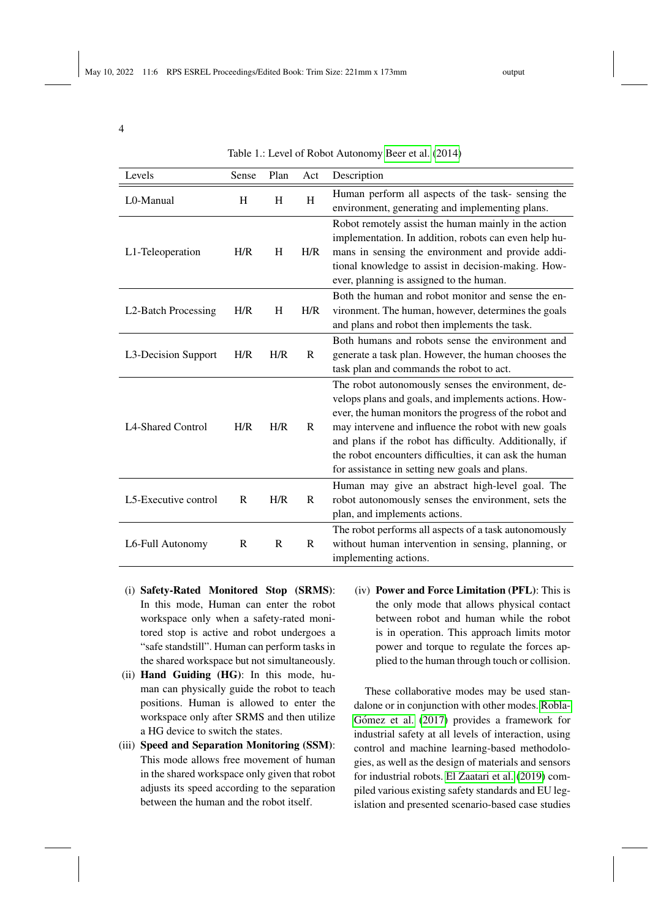<span id="page-3-0"></span>

| ٧<br>v |  |
|--------|--|
|        |  |

Table 1.: Level of Robot Autonomy [Beer et al.](#page-6-5) [\(2014\)](#page-6-5)

| Levels                           | Sense        | Plan | Act         | Description                                                                                                                                                                                                                                                                                                                                                                                          |
|----------------------------------|--------------|------|-------------|------------------------------------------------------------------------------------------------------------------------------------------------------------------------------------------------------------------------------------------------------------------------------------------------------------------------------------------------------------------------------------------------------|
| L0-Manual                        | H            | H    | H           | Human perform all aspects of the task-sensing the<br>environment, generating and implementing plans.                                                                                                                                                                                                                                                                                                 |
| L1-Teleoperation                 | H/R          | H    | H/R         | Robot remotely assist the human mainly in the action<br>implementation. In addition, robots can even help hu-<br>mans in sensing the environment and provide addi-<br>tional knowledge to assist in decision-making. How-<br>ever, planning is assigned to the human.                                                                                                                                |
| L <sub>2</sub> -Batch Processing | H/R          | H    | H/R         | Both the human and robot monitor and sense the en-<br>vironment. The human, however, determines the goals<br>and plans and robot then implements the task.                                                                                                                                                                                                                                           |
| L3-Decision Support              | H/R          | H/R  | R           | Both humans and robots sense the environment and<br>generate a task plan. However, the human chooses the<br>task plan and commands the robot to act.                                                                                                                                                                                                                                                 |
| L <sub>4</sub> -Shared Control   | H/R          | H/R  | $\mathbf R$ | The robot autonomously senses the environment, de-<br>velops plans and goals, and implements actions. How-<br>ever, the human monitors the progress of the robot and<br>may intervene and influence the robot with new goals<br>and plans if the robot has difficulty. Additionally, if<br>the robot encounters difficulties, it can ask the human<br>for assistance in setting new goals and plans. |
| L5-Executive control             | $\mathbb{R}$ | H/R  | $\mathbf R$ | Human may give an abstract high-level goal. The<br>robot autonomously senses the environment, sets the<br>plan, and implements actions.                                                                                                                                                                                                                                                              |
| L6-Full Autonomy                 | $\mathbb{R}$ | R    | R           | The robot performs all aspects of a task autonomously<br>without human intervention in sensing, planning, or<br>implementing actions.                                                                                                                                                                                                                                                                |

- (i) Safety-Rated Monitored Stop (SRMS): In this mode, Human can enter the robot workspace only when a safety-rated monitored stop is active and robot undergoes a "safe standstill". Human can perform tasks in the shared workspace but not simultaneously.
- (ii) Hand Guiding (HG): In this mode, human can physically guide the robot to teach positions. Human is allowed to enter the workspace only after SRMS and then utilize a HG device to switch the states.
- (iii) Speed and Separation Monitoring (SSM): This mode allows free movement of human in the shared workspace only given that robot adjusts its speed according to the separation between the human and the robot itself.
- (iv) Power and Force Limitation (PFL): This is the only mode that allows physical contact between robot and human while the robot is in operation. This approach limits motor power and torque to regulate the forces applied to the human through touch or collision.

These collaborative modes may be used standalone or in conjunction with other modes. [Robla-](#page-7-4)Gómez et al. [\(2017\)](#page-7-4) provides a framework for industrial safety at all levels of interaction, using control and machine learning-based methodologies, as well as the design of materials and sensors for industrial robots. [El Zaatari et al.](#page-6-8) [\(2019\)](#page-6-8) compiled various existing safety standards and EU legislation and presented scenario-based case studies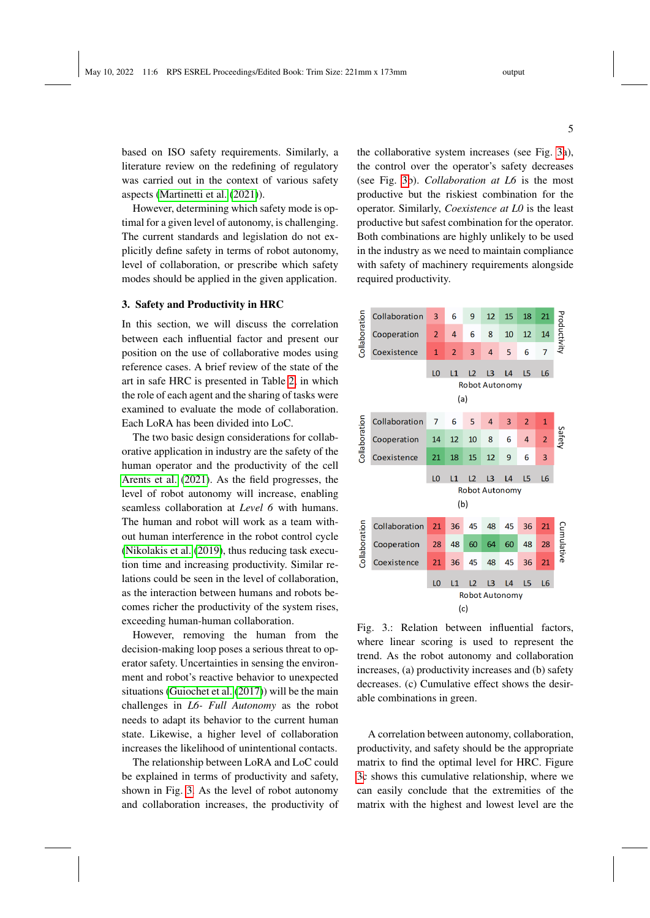based on ISO safety requirements. Similarly, a literature review on the redefining of regulatory was carried out in the context of various safety aspects [\(Martinetti et al.](#page-7-5) [\(2021\)](#page-7-5)).

However, determining which safety mode is optimal for a given level of autonomy, is challenging. The current standards and legislation do not explicitly define safety in terms of robot autonomy, level of collaboration, or prescribe which safety modes should be applied in the given application.

## <span id="page-4-0"></span>3. Safety and Productivity in HRC

In this section, we will discuss the correlation between each influential factor and present our position on the use of collaborative modes using reference cases. A brief review of the state of the art in safe HRC is presented in Table [2,](#page-5-0) in which the role of each agent and the sharing of tasks were examined to evaluate the mode of collaboration. Each LoRA has been divided into LoC.

The two basic design considerations for collaborative application in industry are the safety of the human operator and the productivity of the cell [Arents et al.](#page-6-9) [\(2021\)](#page-6-9). As the field progresses, the level of robot autonomy will increase, enabling seamless collaboration at *Level 6* with humans. The human and robot will work as a team without human interference in the robot control cycle [\(Nikolakis et al.](#page-7-6) [\(2019\)](#page-7-6), thus reducing task execution time and increasing productivity. Similar relations could be seen in the level of collaboration, as the interaction between humans and robots becomes richer the productivity of the system rises, exceeding human-human collaboration.

However, removing the human from the decision-making loop poses a serious threat to operator safety. Uncertainties in sensing the environment and robot's reactive behavior to unexpected situations [\(Guiochet et al.](#page-6-10) [\(2017\)](#page-6-10)) will be the main challenges in *L6- Full Autonomy* as the robot needs to adapt its behavior to the current human state. Likewise, a higher level of collaboration increases the likelihood of unintentional contacts.

The relationship between LoRA and LoC could be explained in terms of productivity and safety, shown in Fig. [3.](#page-4-1) As the level of robot autonomy and collaboration increases, the productivity of

the collaborative system increases (see Fig. [3a](#page-4-1)), the control over the operator's safety decreases (see Fig. [3b](#page-4-1)). *Collaboration at L6* is the most productive but the riskiest combination for the operator. Similarly, *Coexistence at L0* is the least productive but safest combination for the operator. Both combinations are highly unlikely to be used in the industry as we need to maintain compliance with safety of machinery requirements alongside required productivity.

<span id="page-4-1"></span>

Fig. 3.: Relation between influential factors, where linear scoring is used to represent the trend. As the robot autonomy and collaboration increases, (a) productivity increases and (b) safety decreases. (c) Cumulative effect shows the desirable combinations in green.

A correlation between autonomy, collaboration, productivity, and safety should be the appropriate matrix to find the optimal level for HRC. Figure [3c](#page-4-1) shows this cumulative relationship, where we can easily conclude that the extremities of the matrix with the highest and lowest level are the

5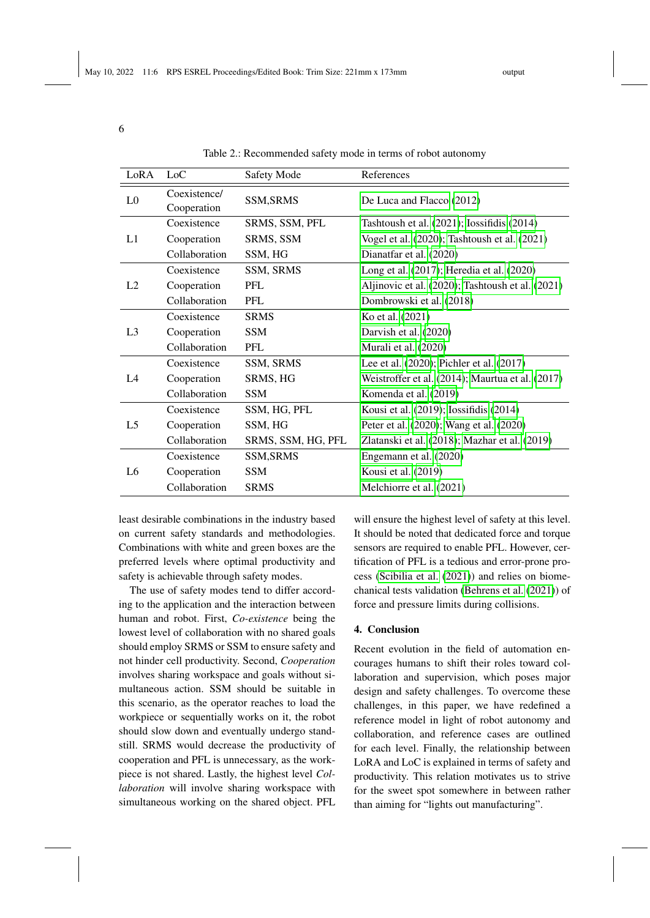<span id="page-5-0"></span>6

| LoRA           | LoC                         | Safety Mode        | References                                       |
|----------------|-----------------------------|--------------------|--------------------------------------------------|
| L <sub>0</sub> | Coexistence/<br>Cooperation | <b>SSM, SRMS</b>   | De Luca and Flacco (2012)                        |
| L1             | Coexistence                 | SRMS, SSM, PFL     | Tashtoush et al. $(2021)$ ; Iossifidis $(2014)$  |
|                | Cooperation                 | SRMS, SSM          | Vogel et al. (2020); Tashtoush et al. (2021)     |
|                | Collaboration               | SSM, HG            | Dianatfar et al. (2020)                          |
| L2             | Coexistence                 | SSM, SRMS          | Long et al. (2017); Heredia et al. (2020)        |
|                | Cooperation                 | PFL                | Aljinovic et al. (2020); Tashtoush et al. (2021) |
|                | Collaboration               | PFL                | Dombrowski et al. (2018)                         |
| L <sub>3</sub> | Coexistence                 | <b>SRMS</b>        | Ko et al. (2021)                                 |
|                | Cooperation                 | <b>SSM</b>         | Darvish et al. (2020)                            |
|                | Collaboration               | <b>PFL</b>         | Murali et al. (2020)                             |
| L4             | Coexistence                 | SSM, SRMS          | Lee et al. (2020); Pichler et al. (2017)         |
|                | Cooperation                 | SRMS, HG           | Weistroffer et al. (2014); Maurtua et al. (2017) |
|                | Collaboration               | <b>SSM</b>         | Komenda et al. (2019)                            |
| L <sub>5</sub> | Coexistence                 | SSM, HG, PFL       | Kousi et al. (2019); Iossifidis (2014)           |
|                | Cooperation                 | SSM, HG            | Peter et al. (2020); Wang et al. (2020)          |
|                | Collaboration               | SRMS, SSM, HG, PFL | Zlatanski et al. (2018); Mazhar et al. (2019)    |
| L <sub>6</sub> | Coexistence                 | <b>SSM, SRMS</b>   | Engemann et al. (2020)                           |
|                | Cooperation                 | <b>SSM</b>         | Kousi et al. (2019)                              |
|                | Collaboration               | <b>SRMS</b>        | Melchiorre et al. (2021)                         |

Table 2.: Recommended safety mode in terms of robot autonomy

least desirable combinations in the industry based on current safety standards and methodologies. Combinations with white and green boxes are the preferred levels where optimal productivity and safety is achievable through safety modes.

The use of safety modes tend to differ according to the application and the interaction between human and robot. First, *Co-existence* being the lowest level of collaboration with no shared goals should employ SRMS or SSM to ensure safety and not hinder cell productivity. Second, *Cooperation* involves sharing workspace and goals without simultaneous action. SSM should be suitable in this scenario, as the operator reaches to load the workpiece or sequentially works on it, the robot should slow down and eventually undergo standstill. SRMS would decrease the productivity of cooperation and PFL is unnecessary, as the workpiece is not shared. Lastly, the highest level *Collaboration* will involve sharing workspace with simultaneous working on the shared object. PFL

will ensure the highest level of safety at this level. It should be noted that dedicated force and torque sensors are required to enable PFL. However, certification of PFL is a tedious and error-prone process [\(Scibilia et al.](#page-7-21) [\(2021\)](#page-7-21)) and relies on biomechanical tests validation [\(Behrens et al.](#page-6-21) [\(2021\)](#page-6-21)) of force and pressure limits during collisions.

### <span id="page-5-1"></span>4. Conclusion

Recent evolution in the field of automation encourages humans to shift their roles toward collaboration and supervision, which poses major design and safety challenges. To overcome these challenges, in this paper, we have redefined a reference model in light of robot autonomy and collaboration, and reference cases are outlined for each level. Finally, the relationship between LoRA and LoC is explained in terms of safety and productivity. This relation motivates us to strive for the sweet spot somewhere in between rather than aiming for "lights out manufacturing".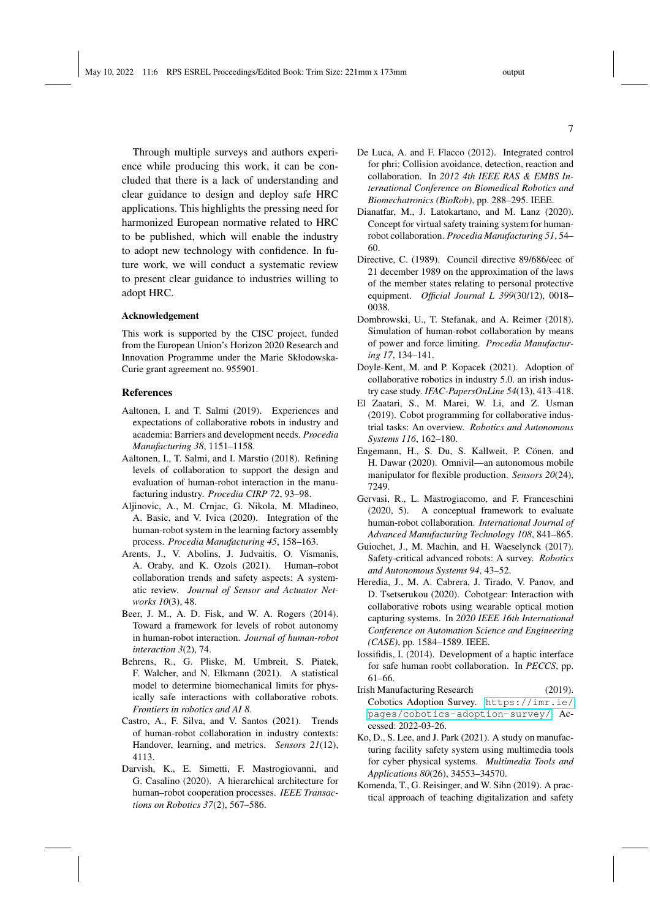Through multiple surveys and authors experience while producing this work, it can be concluded that there is a lack of understanding and clear guidance to design and deploy safe HRC applications. This highlights the pressing need for harmonized European normative related to HRC to be published, which will enable the industry to adopt new technology with confidence. In future work, we will conduct a systematic review to present clear guidance to industries willing to adopt HRC.

#### Acknowledgement

This work is supported by the CISC project, funded from the European Union's Horizon 2020 Research and Innovation Programme under the Marie Skłodowska-Curie grant agreement no. 955901.

#### References

- <span id="page-6-1"></span>Aaltonen, I. and T. Salmi (2019). Experiences and expectations of collaborative robots in industry and academia: Barriers and development needs. *Procedia Manufacturing 38*, 1151–1158.
- <span id="page-6-6"></span>Aaltonen, I., T. Salmi, and I. Marstio (2018). Refining levels of collaboration to support the design and evaluation of human-robot interaction in the manufacturing industry. *Procedia CIRP 72*, 93–98.
- <span id="page-6-15"></span>Aljinovic, A., M. Crnjac, G. Nikola, M. Mladineo, A. Basic, and V. Ivica (2020). Integration of the human-robot system in the learning factory assembly process. *Procedia Manufacturing 45*, 158–163.
- <span id="page-6-9"></span>Arents, J., V. Abolins, J. Judvaitis, O. Vismanis, A. Oraby, and K. Ozols (2021). Human–robot collaboration trends and safety aspects: A systematic review. *Journal of Sensor and Actuator Networks 10*(3), 48.
- <span id="page-6-5"></span>Beer, J. M., A. D. Fisk, and W. A. Rogers (2014). Toward a framework for levels of robot autonomy in human-robot interaction. *Journal of human-robot interaction 3*(2), 74.
- <span id="page-6-21"></span>Behrens, R., G. Pliske, M. Umbreit, S. Piatek, F. Walcher, and N. Elkmann (2021). A statistical model to determine biomechanical limits for physically safe interactions with collaborative robots. *Frontiers in robotics and AI 8*.
- <span id="page-6-3"></span>Castro, A., F. Silva, and V. Santos (2021). Trends of human-robot collaboration in industry contexts: Handover, learning, and metrics. *Sensors 21*(12), 4113.
- <span id="page-6-18"></span>Darvish, K., E. Simetti, F. Mastrogiovanni, and G. Casalino (2020). A hierarchical architecture for human–robot cooperation processes. *IEEE Transactions on Robotics 37*(2), 567–586.
- <span id="page-6-11"></span>De Luca, A. and F. Flacco (2012). Integrated control for phri: Collision avoidance, detection, reaction and collaboration. In *2012 4th IEEE RAS & EMBS International Conference on Biomedical Robotics and Biomechatronics (BioRob)*, pp. 288–295. IEEE.
- <span id="page-6-13"></span>Dianatfar, M., J. Latokartano, and M. Lanz (2020). Concept for virtual safety training system for humanrobot collaboration. *Procedia Manufacturing 51*, 54– 60.
- <span id="page-6-7"></span>Directive, C. (1989). Council directive 89/686/eec of 21 december 1989 on the approximation of the laws of the member states relating to personal protective equipment. *Official Journal L 399*(30/12), 0018– 0038.
- <span id="page-6-16"></span>Dombrowski, U., T. Stefanak, and A. Reimer (2018). Simulation of human-robot collaboration by means of power and force limiting. *Procedia Manufacturing 17*, 134–141.
- <span id="page-6-2"></span>Doyle-Kent, M. and P. Kopacek (2021). Adoption of collaborative robotics in industry 5.0. an irish industry case study. *IFAC-PapersOnLine 54*(13), 413–418.
- <span id="page-6-8"></span>El Zaatari, S., M. Marei, W. Li, and Z. Usman (2019). Cobot programming for collaborative industrial tasks: An overview. *Robotics and Autonomous Systems 116*, 162–180.
- <span id="page-6-20"></span>Engemann, H., S. Du, S. Kallweit, P. Cönen, and H. Dawar (2020). Omnivil—an autonomous mobile manipulator for flexible production. *Sensors 20*(24), 7249.
- <span id="page-6-4"></span>Gervasi, R., L. Mastrogiacomo, and F. Franceschini (2020, 5). A conceptual framework to evaluate human-robot collaboration. *International Journal of Advanced Manufacturing Technology 108*, 841–865.
- <span id="page-6-10"></span>Guiochet, J., M. Machin, and H. Waeselynck (2017). Safety-critical advanced robots: A survey. *Robotics and Autonomous Systems 94*, 43–52.
- <span id="page-6-14"></span>Heredia, J., M. A. Cabrera, J. Tirado, V. Panov, and D. Tsetserukou (2020). Cobotgear: Interaction with collaborative robots using wearable optical motion capturing systems. In *2020 IEEE 16th International Conference on Automation Science and Engineering (CASE)*, pp. 1584–1589. IEEE.
- <span id="page-6-12"></span>Iossifidis, I. (2014). Development of a haptic interface for safe human roobt collaboration. In *PECCS*, pp. 61–66.
- <span id="page-6-0"></span>Irish Manufacturing Research (2019). Cobotics Adoption Survey. [https://imr.ie/](https://imr.ie/pages/cobotics-adoption-survey/) [pages/cobotics-adoption-survey/](https://imr.ie/pages/cobotics-adoption-survey/). Accessed: 2022-03-26.
- <span id="page-6-17"></span>Ko, D., S. Lee, and J. Park (2021). A study on manufacturing facility safety system using multimedia tools for cyber physical systems. *Multimedia Tools and Applications 80*(26), 34553–34570.
- <span id="page-6-19"></span>Komenda, T., G. Reisinger, and W. Sihn (2019). A practical approach of teaching digitalization and safety